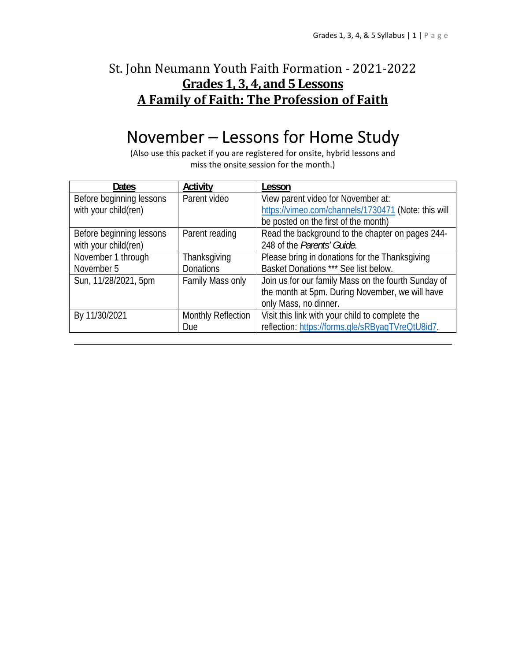### St. John Neumann Youth Faith Formation - 2021-2022 **Grades 1, 3, 4, and 5 Lessons A Family of Faith: The Profession of Faith**

# November – Lessons for Home Study

(Also use this packet if you are registered for onsite, hybrid lessons and miss the onsite session for the month.)

| <b>Dates</b>             | Activity                  | Lesson                                              |
|--------------------------|---------------------------|-----------------------------------------------------|
| Before beginning lessons | Parent video              | View parent video for November at:                  |
| with your child(ren)     |                           | https://vimeo.com/channels/1730471 (Note: this will |
|                          |                           | be posted on the first of the month)                |
| Before beginning lessons | Parent reading            | Read the background to the chapter on pages 244-    |
| with your child(ren)     |                           | 248 of the Parents' Guide.                          |
| November 1 through       | Thanksgiving              | Please bring in donations for the Thanksgiving      |
| November 5               | <b>Donations</b>          | Basket Donations *** See list below.                |
| Sun, 11/28/2021, 5pm     | Family Mass only          | Join us for our family Mass on the fourth Sunday of |
|                          |                           | the month at 5pm. During November, we will have     |
|                          |                           | only Mass, no dinner.                               |
| By 11/30/2021            | <b>Monthly Reflection</b> | Visit this link with your child to complete the     |
|                          | Due                       | reflection: https://forms.gle/sRByagTVreQtU8id7.    |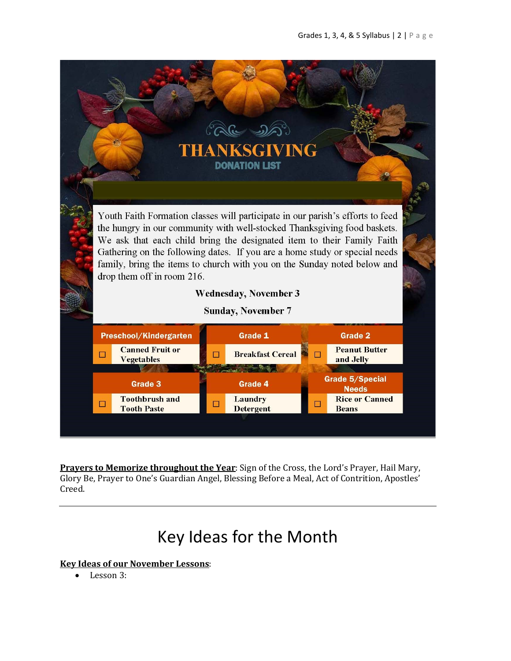

**Prayers to Memorize throughout the Year**: Sign of the Cross, the Lord's Prayer, Hail Mary, Glory Be, Prayer to One's Guardian Angel, Blessing Before a Meal, Act of Contrition, Apostles' Creed.

# Key Ideas for the Month

**Key Ideas of our November Lessons**:

Lesson 3: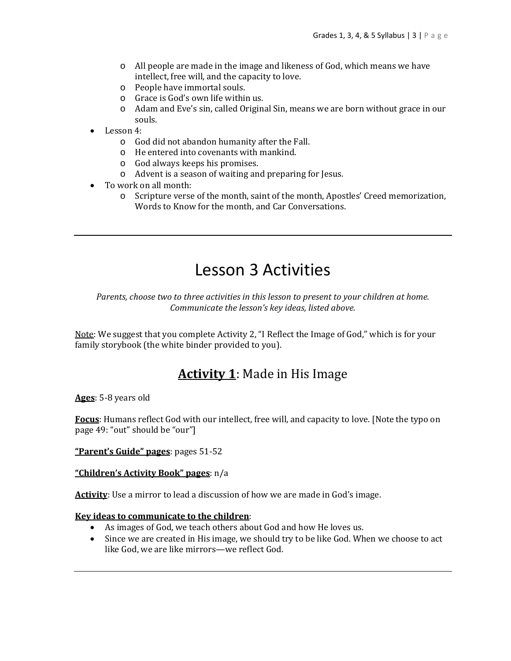- o All people are made in the image and likeness of God, which means we have intellect, free will, and the capacity to love.
- o People have immortal souls.
- o Grace is God's own life within us.
- o Adam and Eve's sin, called Original Sin, means we are born without grace in our souls.
- Lesson 4:
	- o God did not abandon humanity after the Fall.
	- o He entered into covenants with mankind.
	- o God always keeps his promises.
	- o Advent is a season of waiting and preparing for Jesus.
- To work on all month:
	- o Scripture verse of the month, saint of the month, Apostles' Creed memorization, Words to Know for the month, and Car Conversations.

## Lesson 3 Activities

*Parents, choose two to three activities in this lesson to present to your children at home. Communicate the lesson's key ideas, listed above.*

Note: We suggest that you complete Activity 2, "I Reflect the Image of God," which is for your family storybook (the white binder provided to you).

### **Activity 1**: Made in His Image

**Ages**: 5-8 years old

**Focus**: Humans reflect God with our intellect, free will, and capacity to love. [Note the typo on page 49: "out" should be "our"]

**"Parent's Guide" pages**: pages 51-52

**"Children's Activity Book" pages**: n/a

**Activity**: Use a mirror to lead a discussion of how we are made in God's image.

#### **Key ideas to communicate to the children**:

- As images of God, we teach others about God and how He loves us.
- Since we are created in His image, we should try to be like God. When we choose to act like God, we are like mirrors—we reflect God.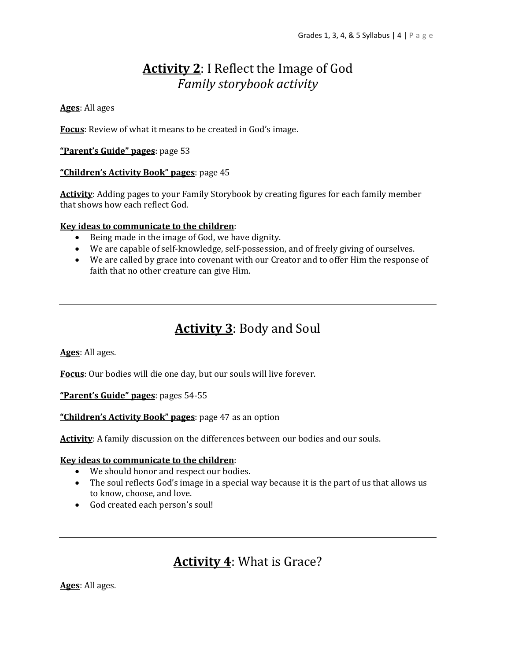### **Activity 2**: I Reflect the Image of God *Family storybook activity*

### **Ages**: All ages

**Focus**: Review of what it means to be created in God's image.

### **"Parent's Guide" pages**: page 53

### **"Children's Activity Book" pages**: page 45

**Activity**: Adding pages to your Family Storybook by creating figures for each family member that shows how each reflect God.

#### **Key ideas to communicate to the children**:

- Being made in the image of God, we have dignity.
- We are capable of self-knowledge, self-possession, and of freely giving of ourselves.
- We are called by grace into covenant with our Creator and to offer Him the response of faith that no other creature can give Him.

### **Activity 3**: Body and Soul

**Ages**: All ages.

**Focus**: Our bodies will die one day, but our souls will live forever.

**"Parent's Guide" pages**: pages 54-55

**"Children's Activity Book" pages**: page 47 as an option

**Activity**: A family discussion on the differences between our bodies and our souls.

#### **Key ideas to communicate to the children**:

- We should honor and respect our bodies.
- The soul reflects God's image in a special way because it is the part of us that allows us to know, choose, and love.
- God created each person's soul!

### **Activity 4**: What is Grace?

**Ages**: All ages.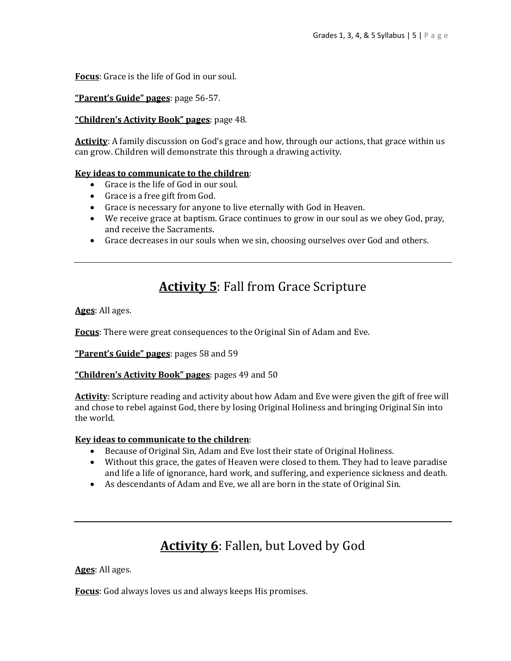**Focus**: Grace is the life of God in our soul.

**"Parent's Guide" pages**: page 56-57.

### **"Children's Activity Book" pages**: page 48.

**Activity**: A family discussion on God's grace and how, through our actions, that grace within us can grow. Children will demonstrate this through a drawing activity.

#### **Key ideas to communicate to the children**:

- Grace is the life of God in our soul.
- Grace is a free gift from God.
- Grace is necessary for anyone to live eternally with God in Heaven.
- We receive grace at baptism. Grace continues to grow in our soul as we obey God, pray, and receive the Sacraments.
- Grace decreases in our souls when we sin, choosing ourselves over God and others.

### **Activity 5**: Fall from Grace Scripture

**Ages**: All ages.

**Focus**: There were great consequences to the Original Sin of Adam and Eve.

**"Parent's Guide" pages**: pages 58 and 59

### **"Children's Activity Book" pages**: pages 49 and 50

**Activity**: Scripture reading and activity about how Adam and Eve were given the gift of free will and chose to rebel against God, there by losing Original Holiness and bringing Original Sin into the world.

#### **Key ideas to communicate to the children**:

- Because of Original Sin, Adam and Eve lost their state of Original Holiness.
- Without this grace, the gates of Heaven were closed to them. They had to leave paradise and life a life of ignorance, hard work, and suffering, and experience sickness and death.
- As descendants of Adam and Eve, we all are born in the state of Original Sin.

### **Activity 6**: Fallen, but Loved by God

**Ages**: All ages.

**Focus**: God always loves us and always keeps His promises.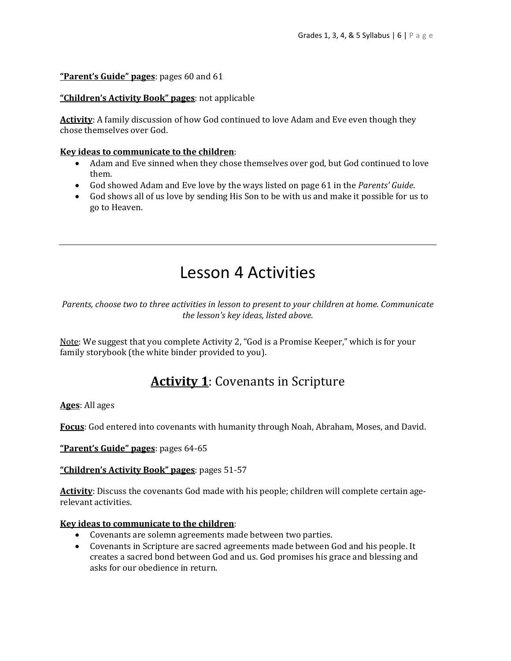### **"Parent's Guide" pages**: pages 60 and 61

### **"Children's Activity Book" pages**: not applicable

**Activity**: A family discussion of how God continued to love Adam and Eve even though they chose themselves over God.

### **Key ideas to communicate to the children**:

- Adam and Eve sinned when they chose themselves over god, but God continued to love them.
- God showed Adam and Eve love by the ways listed on page 61 in the *Parents' Guide*.
- God shows all of us love by sending His Son to be with us and make it possible for us to go to Heaven.

# Lesson 4 Activities

*Parents, choose two to three activities in lesson to present to your children at home. Communicate the lesson's key ideas, listed above.*

Note: We suggest that you complete Activity 2, "God is a Promise Keeper," which is for your family storybook (the white binder provided to you).

### **Activity 1**: Covenants in Scripture

**Ages**: All ages

**Focus**: God entered into covenants with humanity through Noah, Abraham, Moses, and David.

**"Parent's Guide" pages**: pages 64-65

#### **"Children's Activity Book" pages**: pages 51-57

**Activity**: Discuss the covenants God made with his people; children will complete certain agerelevant activities.

### **Key ideas to communicate to the children**:

- Covenants are solemn agreements made between two parties.
- Covenants in Scripture are sacred agreements made between God and his people. It creates a sacred bond between God and us. God promises his grace and blessing and asks for our obedience in return.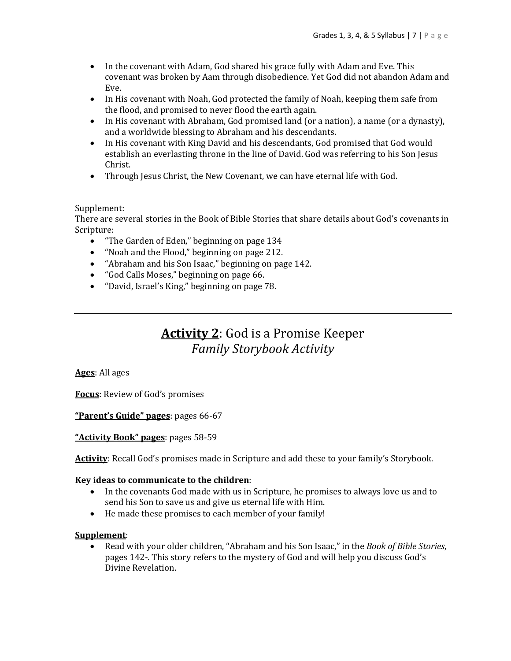- In the covenant with Adam, God shared his grace fully with Adam and Eve. This covenant was broken by Aam through disobedience. Yet God did not abandon Adam and Eve.
- In His covenant with Noah, God protected the family of Noah, keeping them safe from the flood, and promised to never flood the earth again.
- In His covenant with Abraham, God promised land (or a nation), a name (or a dynasty), and a worldwide blessing to Abraham and his descendants.
- In His covenant with King David and his descendants, God promised that God would establish an everlasting throne in the line of David. God was referring to his Son Jesus Christ.
- Through Jesus Christ, the New Covenant, we can have eternal life with God.

### Supplement:

There are several stories in the Book of Bible Stories that share details about God's covenants in Scripture:

- "The Garden of Eden," beginning on page 134
- "Noah and the Flood," beginning on page 212.
- "Abraham and his Son Isaac," beginning on page 142.
- "God Calls Moses," beginning on page 66.
- "David, Israel's King," beginning on page 78.

### **Activity 2**: God is a Promise Keeper *Family Storybook Activity*

**Ages**: All ages

**Focus**: Review of God's promises

**"Parent's Guide" pages**: pages 66-67

**"Activity Book" pages**: pages 58-59

**Activity**: Recall God's promises made in Scripture and add these to your family's Storybook.

#### **Key ideas to communicate to the children**:

- In the covenants God made with us in Scripture, he promises to always love us and to send his Son to save us and give us eternal life with Him.
- He made these promises to each member of your family!

#### **Supplement**:

 Read with your older children, "Abraham and his Son Isaac," in the *Book of Bible Stories*, pages 142-. This story refers to the mystery of God and will help you discuss God's Divine Revelation.